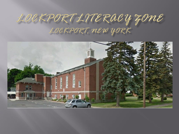# LOCKPORTLITERACY ZOME LOCKPORT, NEW YORK

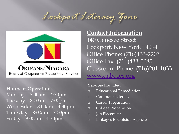# Lockport Literacy Your



## **Hours of Operation**

Monday – 8:00am – 4:30pm Tuesday – 8:00am – 7:00pm Wednesday – 8:00am – 4:30pm Thursday – 8:00am – 7:00pm Friday – 8:00am – 4:30pm

**Contact Information** 140 Genesee Street Lockport, New York 14094 Office Phone: (716)433-2205 Office Fax: (716)433-5085 Classroom Phone: (716)201-1033 [www.onboces.org](http://www.onboces.org/)

#### **Services Provided**

- Educational Remediation
- □ Computer Literacy
- □ Career Preparation
- □ College Preparation
- D **Job** Placement
- Linkages to Outside Agencies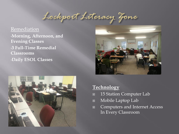Lockport Literacy Your

Remediation •**Morning, Afternoon, and Evening Classes** •**3 Full-Time Remedial Classrooms** •**Daily ESOL Classes**





### **Technology**

- 15 Station Computer Lab
- Mobile Laptop Lab
- Computers and Internet Access In Every Classroom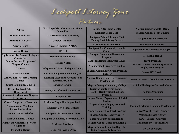Lockport Literacy Tone

| Adecco                                                           | <b>First Step Crisis Center - NorthPoint</b>                           | <b>Lockport One-Stop Center</b>                                                                       | <b>Niagara County Sheriff's Dept.</b>                                |
|------------------------------------------------------------------|------------------------------------------------------------------------|-------------------------------------------------------------------------------------------------------|----------------------------------------------------------------------|
|                                                                  | <b>Council Inc.</b>                                                    | <b>Lockport Police Dept.</b>                                                                          | <b>Niagara County Youth Bureau</b>                                   |
| <b>American Red Cross</b>                                        | <b>Girl Scouts of Niagara County</b>                                   | <b>Lockport Public Library - NYS</b><br><b>Talking Book Library Service</b>                           | Niagara's WorkSourceOne                                              |
| <b>American Red Cross</b>                                        | <b>Goodwill Industries</b>                                             |                                                                                                       |                                                                      |
| <b>Aurora House</b>                                              | <b>Greater Lockport YMCA</b>                                           | <b>Lockport Salvation Army</b>                                                                        | <b>NorthPoint Council Inc.</b>                                       |
| <b>Beacon Center</b>                                             | <b>HANCI</b>                                                           | <b>Lockport Site Community Health</b><br><b>Center</b>                                                | <b>Opportunities Unlimited of Niagara</b>                            |
| <b>Big Brothers Big Sisters of Niagara</b><br><b>County Inc.</b> | <b>Horizon Health Services</b>                                         | <b>Lockport Youth and Recreation</b><br><b>Program</b>                                                | <b>Residential Rehab</b>                                             |
| <b>Cancer Services Program of</b>                                |                                                                        | <b>Madonna House-Fellowship House</b>                                                                 | <b>RSVP Program</b>                                                  |
| <b>Niagara County</b>                                            | <b>Horizon Village</b>                                                 | <b>Neighborhood Legal Services, Inc.</b>                                                              | <b>SCSEP - Senior Community Service</b><br><b>Employment Program</b> |
| <b>Care-Net</b>                                                  | <b>Independent Living of Niagara County</b>                            | <b>Niagara Community Action Program</b>                                                               |                                                                      |
| <b>Carolyn's House</b>                                           | <b>Kids Breaking Free Foundation, Inc.</b>                             | - NiaCAP                                                                                              | Senate 62 <sup>nd</sup> District                                     |
| <b>CASAC The Resource Training</b><br><b>Center</b>              | <b>Learning Disabilities Association of</b><br><b>Western New York</b> | <b>Niagara County Center for Economic</b><br><b>Development</b>                                       | <b>Somerset House Alcohol Halfway House</b>                          |
| <b>Christ Communtiy Church</b>                                   | <b>Lewiston Kiwanis</b>                                                | <b>Niagara County Community College</b>                                                               | <b>St. John The Baptist Outreach Center</b>                          |
| <b>City of Lockport Police</b><br><b>Department</b>              | Literacy NY of Buffalo-Niagara Inc.                                    | <b>Niagara County Department of</b><br><b>Health - Healthy Neighborhoods</b>                          | <b>The Dale Association</b>                                          |
| <b>Community Missions of Niagara</b>                             | <b>Lockport Cares</b>                                                  | Program                                                                                               |                                                                      |
| Frontier, Inc.                                                   |                                                                        | <b>Niagara County Department of Social</b><br><b>Services</b><br><b>Niagara County Employment and</b> | <b>The Kenan Center</b>                                              |
| <b>Cornell Cooperative Extension</b>                             | <b>Lockport City - Housing Authority</b>                               |                                                                                                       |                                                                      |
| <b>Department of Youth and</b><br><b>Recreation Services</b>     | <b>Lockport City School District</b>                                   | <b>Training</b>                                                                                       | <b>Town of Lockport Economic Development</b>                         |
|                                                                  | <b>Lockport City Treatment Court</b>                                   | <b>Niagara County Headstart Program</b>                                                               | <b>United Way of Greater Niagara</b>                                 |
| <b>Dept. of Motor Vehicles</b>                                   |                                                                        | <b>Niagara County History Center</b>                                                                  | <b>Veterans Service Agency</b>                                       |
| <b>Erie Community College</b>                                    | <b>Lockport Community Television LCTV</b>                              | <b>Niagara County Mental Health</b>                                                                   | <b>WIC-Catholic Charities</b>                                        |
| <b>Family and Children's Services of</b>                         | <b>Lockport Fire Dept.</b>                                             | <b>Niagara County Office of the Aging</b>                                                             | <b>Workforce Investment Board</b>                                    |
| Niagara Inc.<br><b>Fellowship House</b>                          | <b>Lockport Mayor's Office</b>                                         | <b>Niagara County Probation Dept. Re-</b><br><b>Entry Program &amp; Task Force</b>                    | <b>YWCA</b> of Niagara                                               |